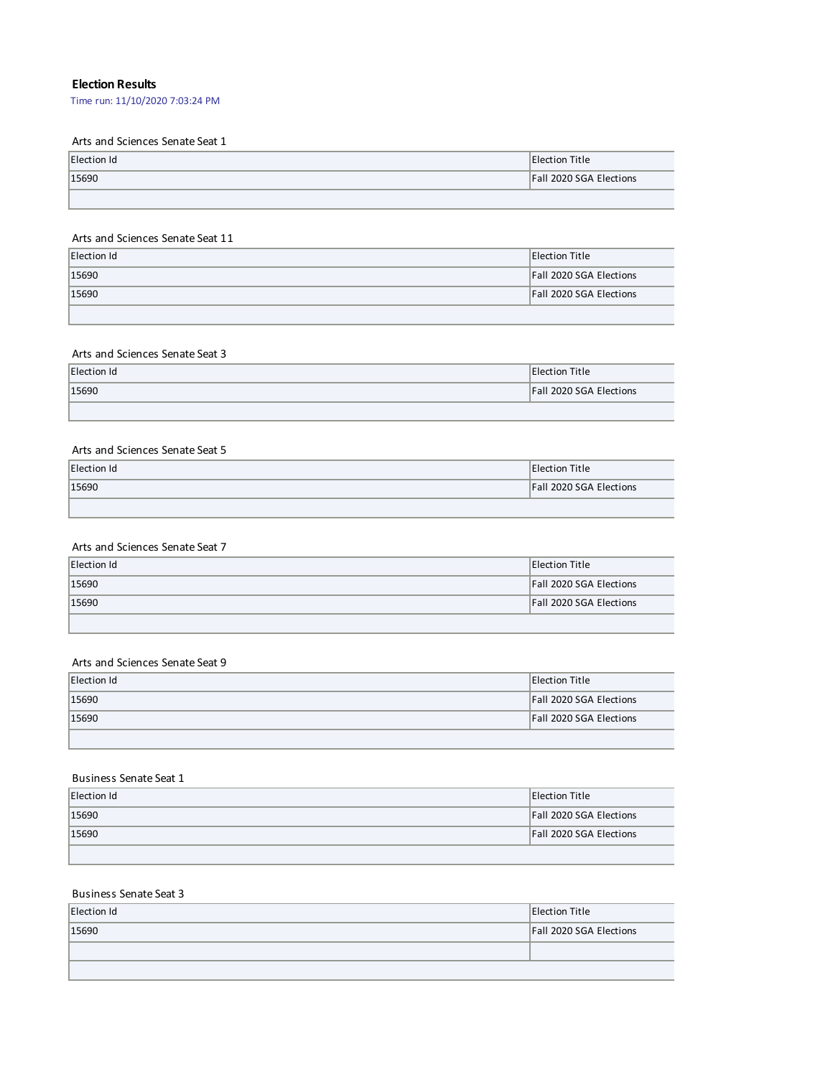# **Election Results**

Time run: 11/10/2020 7:03:24 PM

## Arts and Sciences Senate Seat 1

| Election Id | Election Title                 |
|-------------|--------------------------------|
| 15690       | <b>Fall 2020 SGA Elections</b> |
|             |                                |

#### Arts and Sciences Senate Seat 11

| Election Id | <b>Election Title</b>          |
|-------------|--------------------------------|
| 15690       | <b>Fall 2020 SGA Elections</b> |
| 15690       | <b>Fall 2020 SGA Elections</b> |
|             |                                |

## Arts and Sciences Senate Seat 3

| Election Id | <b>Election Title</b>          |
|-------------|--------------------------------|
| 15690       | <b>Fall 2020 SGA Elections</b> |
|             |                                |

# Arts and Sciences Senate Seat 5

| Election Id | <b>IElection Title</b>         |
|-------------|--------------------------------|
| 15690       | <b>Fall 2020 SGA Elections</b> |
|             |                                |

## Arts and Sciences Senate Seat 7

| Election Id | Election Title                 |
|-------------|--------------------------------|
| 15690       | <b>Fall 2020 SGA Elections</b> |
| 15690       | <b>Fall 2020 SGA Elections</b> |
|             |                                |

## Arts and Sciences Senate Seat 9

L

| Election Id | <b>Election Title</b>          |
|-------------|--------------------------------|
| 15690       | <b>Fall 2020 SGA Elections</b> |
| 15690       | <b>Fall 2020 SGA Elections</b> |
|             |                                |

### Business Senate Seat 1

| Election Id | Election Title                 |
|-------------|--------------------------------|
| 15690       | <b>Fall 2020 SGA Elections</b> |
| 15690       | <b>Fall 2020 SGA Elections</b> |
|             |                                |

### Business Senate Seat 3

| Election Id | <b>Election Title</b>   |
|-------------|-------------------------|
| 15690       | Fall 2020 SGA Elections |
|             |                         |
|             |                         |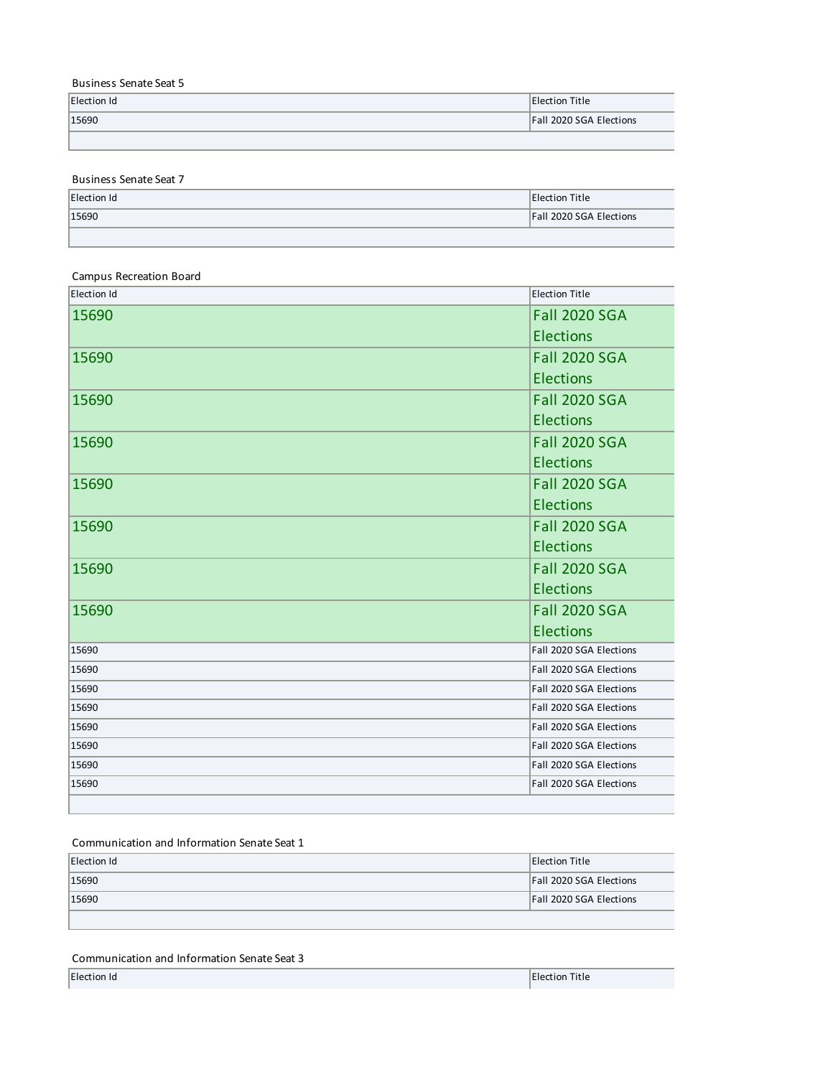## Business Senate Seat 5

| Election Id | Election Title          |
|-------------|-------------------------|
| 15690       | Fall 2020 SGA Elections |
|             |                         |

Business Senate Seat 7

| Election Id | <b>Election Title</b>          |
|-------------|--------------------------------|
| 15690       | <b>Fall 2020 SGA Elections</b> |
|             |                                |

# Campus Recreation Board

| Election Id | <b>Election Title</b>   |
|-------------|-------------------------|
| 15690       | <b>Fall 2020 SGA</b>    |
|             | <b>Elections</b>        |
| 15690       | <b>Fall 2020 SGA</b>    |
|             | <b>Elections</b>        |
| 15690       | <b>Fall 2020 SGA</b>    |
|             | <b>Elections</b>        |
| 15690       | <b>Fall 2020 SGA</b>    |
|             | <b>Elections</b>        |
| 15690       | <b>Fall 2020 SGA</b>    |
|             | <b>Elections</b>        |
| 15690       | <b>Fall 2020 SGA</b>    |
|             | <b>Elections</b>        |
| 15690       | <b>Fall 2020 SGA</b>    |
|             | <b>Elections</b>        |
| 15690       | <b>Fall 2020 SGA</b>    |
|             | <b>Elections</b>        |
| 15690       | Fall 2020 SGA Elections |
| 15690       | Fall 2020 SGA Elections |
| 15690       | Fall 2020 SGA Elections |
| 15690       | Fall 2020 SGA Elections |
| 15690       | Fall 2020 SGA Elections |
| 15690       | Fall 2020 SGA Elections |
| 15690       | Fall 2020 SGA Elections |
| 15690       | Fall 2020 SGA Elections |
|             |                         |

#### Communication and Information Senate Seat 1

| Election Id | <b>Election Title</b>          |
|-------------|--------------------------------|
| 15690       | <b>Fall 2020 SGA Elections</b> |
| 15690       | <b>Fall 2020 SGA Elections</b> |
|             |                                |

## Communication and Information Senate Seat 3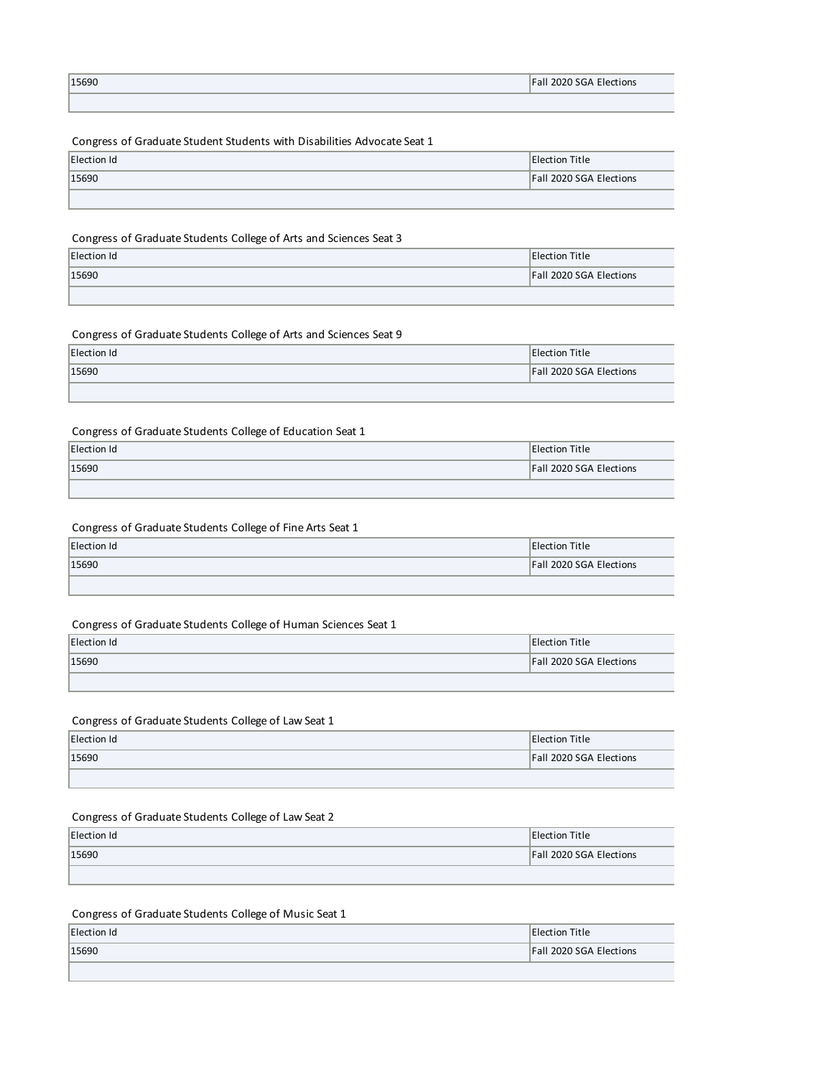| 15690 | <b>Fall 2020 SGA Elections</b> |
|-------|--------------------------------|
|       |                                |

# Congress of Graduate Student Students with Disabilities Advocate Seat 1

| Election Id | Election Title                 |
|-------------|--------------------------------|
| 15690       | <b>Fall 2020 SGA Elections</b> |
|             |                                |

### Congress of Graduate Students College of Arts and Sciences Seat 3

| Election Id | <b>Election Title</b>   |
|-------------|-------------------------|
| 15690       | Fall 2020 SGA Elections |
|             |                         |

### Congress of Graduate Students College of Arts and Sciences Seat 9

| Election Id | <b>Election Title</b>          |
|-------------|--------------------------------|
| 15690       | <b>Fall 2020 SGA Elections</b> |
|             |                                |

### Congress of Graduate Students College of Education Seat 1

| Election Id | Election Title                 |
|-------------|--------------------------------|
| 15690       | <b>Fall 2020 SGA Elections</b> |
|             |                                |

#### Congress of Graduate Students College of Fine Arts Seat 1

| Election Id | <b>Election Title</b>          |
|-------------|--------------------------------|
| 15690       | <b>Fall 2020 SGA Elections</b> |
|             |                                |

#### Congress of Graduate Students College of Human Sciences Seat 1

| <b>Election Id</b> | <b>Election Title</b>   |
|--------------------|-------------------------|
| 15690              | Fall 2020 SGA Elections |
|                    |                         |

#### Congress of Graduate Students College of Law Seat 1

| Election Id | <b>Election Title</b>          |
|-------------|--------------------------------|
| 15690       | <b>Fall 2020 SGA Elections</b> |
|             |                                |

## Congress of Graduate Students College of Law Seat 2

| Election Id | <b>Election Title</b>          |
|-------------|--------------------------------|
| 15690       | <b>Fall 2020 SGA Elections</b> |
|             |                                |

# Congress of Graduate Students College of Music Seat 1

| Election Id | <b>Election Title</b>          |
|-------------|--------------------------------|
| 15690       | <b>Fall 2020 SGA Elections</b> |
|             |                                |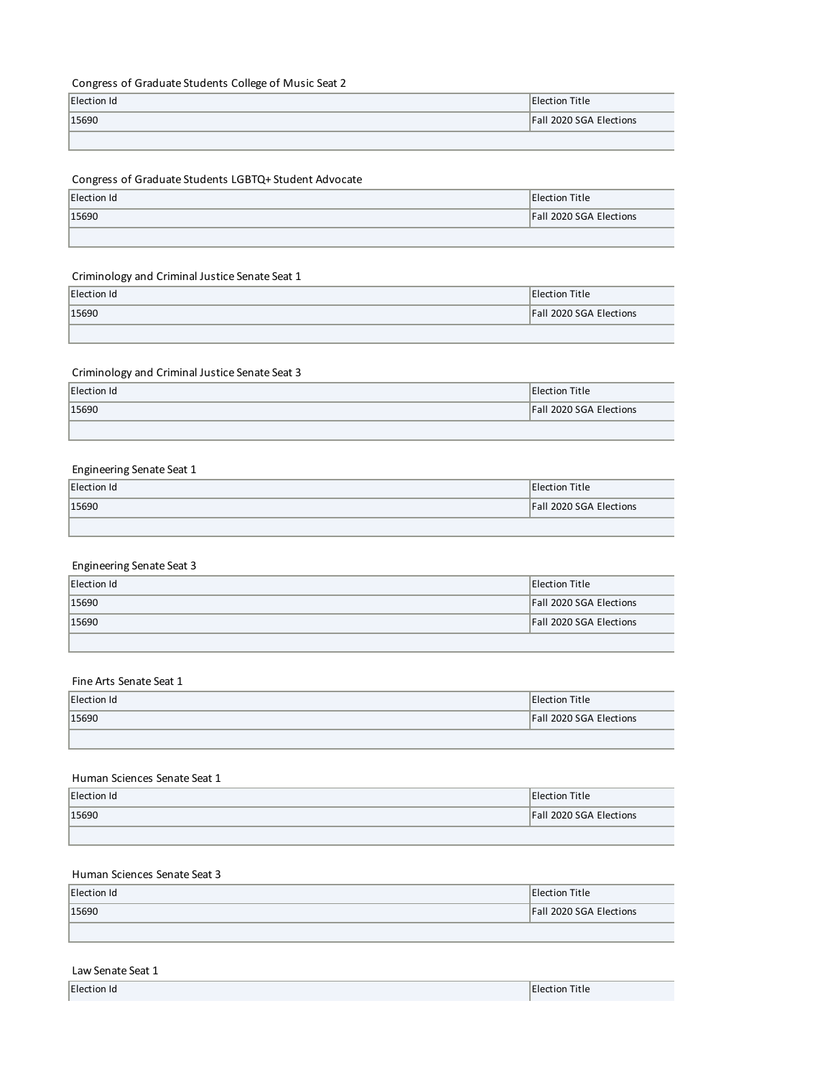# Congress of Graduate Students College of Music Seat 2

| Election Id | <b>Election Title</b>          |
|-------------|--------------------------------|
| 15690       | <b>Fall 2020 SGA Elections</b> |
|             |                                |

# Congress of Graduate Students LGBTQ+ Student Advocate

| Election Id | <b>Election Title</b>   |
|-------------|-------------------------|
| 15690       | Fall 2020 SGA Elections |
|             |                         |

# Criminology and Criminal Justice Senate Seat 1

| Election Id | Election Title                 |
|-------------|--------------------------------|
| 15690       | <b>Fall 2020 SGA Elections</b> |
|             |                                |

### Criminology and Criminal Justice Senate Seat 3

| Election Id | <b>Election Title</b>          |
|-------------|--------------------------------|
| 15690       | <b>Fall 2020 SGA Elections</b> |
|             |                                |

### Engineering Senate Seat 1

| Election Id | <b>Election Title</b>          |
|-------------|--------------------------------|
| 15690       | <b>Fall 2020 SGA Elections</b> |
|             |                                |

### Engineering Senate Seat 3

| Election Id | <b>Election Title</b>          |
|-------------|--------------------------------|
| 15690       | <b>Fall 2020 SGA Elections</b> |
| 15690       | <b>Fall 2020 SGA Elections</b> |
|             |                                |

#### Fine Arts Senate Seat 1

| Election Id | <b>Election Title</b>          |
|-------------|--------------------------------|
| 15690       | <b>Fall 2020 SGA Elections</b> |
|             |                                |

#### Human Sciences Senate Seat 1

| Election Id | <b>IElection Title</b>  |
|-------------|-------------------------|
| 15690       | Fall 2020 SGA Elections |
|             |                         |

# Human Sciences Senate Seat 3

| Election Id | <b>Election Title</b>          |
|-------------|--------------------------------|
| 15690       | <b>Fall 2020 SGA Elections</b> |
|             |                                |

### Law Senate Seat 1

L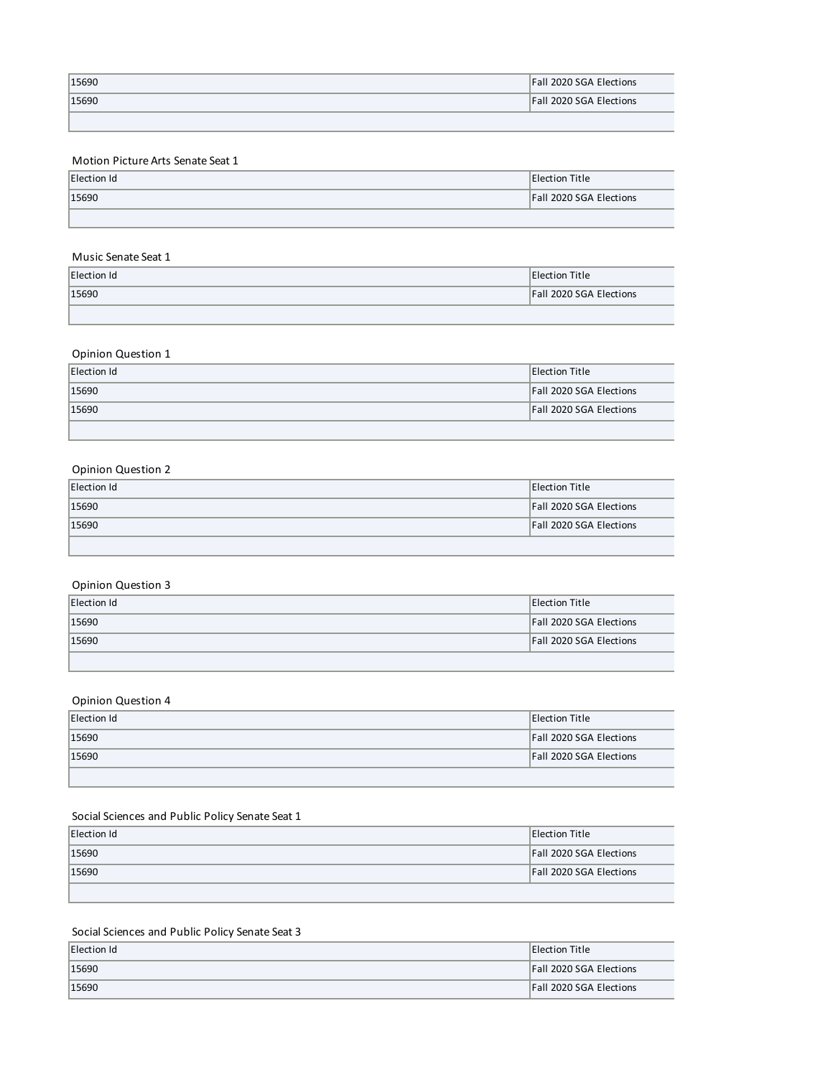| 15690 | <b>Fall 2020 SGA Elections</b> |
|-------|--------------------------------|
| 15690 | <b>Fall 2020 SGA Elections</b> |
|       |                                |

# Motion Picture Arts Senate Seat 1

| Election Id | Election Title                 |
|-------------|--------------------------------|
| 15690       | <b>Fall 2020 SGA Elections</b> |
|             |                                |

## Music Senate Seat 1

| Election Id | Election Title                 |
|-------------|--------------------------------|
| 15690       | <b>Fall 2020 SGA Elections</b> |
|             |                                |

# Opinion Question 1

| Election Id | <b>Election Title</b>          |
|-------------|--------------------------------|
| 15690       | <b>Fall 2020 SGA Elections</b> |
| 15690       | <b>Fall 2020 SGA Elections</b> |
|             |                                |

### Opinion Question 2

| Election Id | <b>Election Title</b>          |
|-------------|--------------------------------|
| 15690       | <b>Fall 2020 SGA Elections</b> |
| 15690       | <b>Fall 2020 SGA Elections</b> |
|             |                                |

# Opinion Question 3

| Election Id | <b>Election Title</b>          |
|-------------|--------------------------------|
| 15690       | <b>Fall 2020 SGA Elections</b> |
| 15690       | <b>Fall 2020 SGA Elections</b> |
|             |                                |

### Opinion Question 4

| Election Id | <b>Election Title</b>          |
|-------------|--------------------------------|
| 15690       | <b>Fall 2020 SGA Elections</b> |
| 15690       | <b>Fall 2020 SGA Elections</b> |
|             |                                |

# Social Sciences and Public Policy Senate Seat 1

| Election Id | <b>Election Title</b>          |
|-------------|--------------------------------|
| 15690       | <b>Fall 2020 SGA Elections</b> |
| 15690       | <b>Fall 2020 SGA Elections</b> |
|             |                                |

# Social Sciences and Public Policy Senate Seat 3

| Election Id | <b>Election Title</b>          |
|-------------|--------------------------------|
| 15690       | <b>Fall 2020 SGA Elections</b> |
| 15690       | <b>Fall 2020 SGA Elections</b> |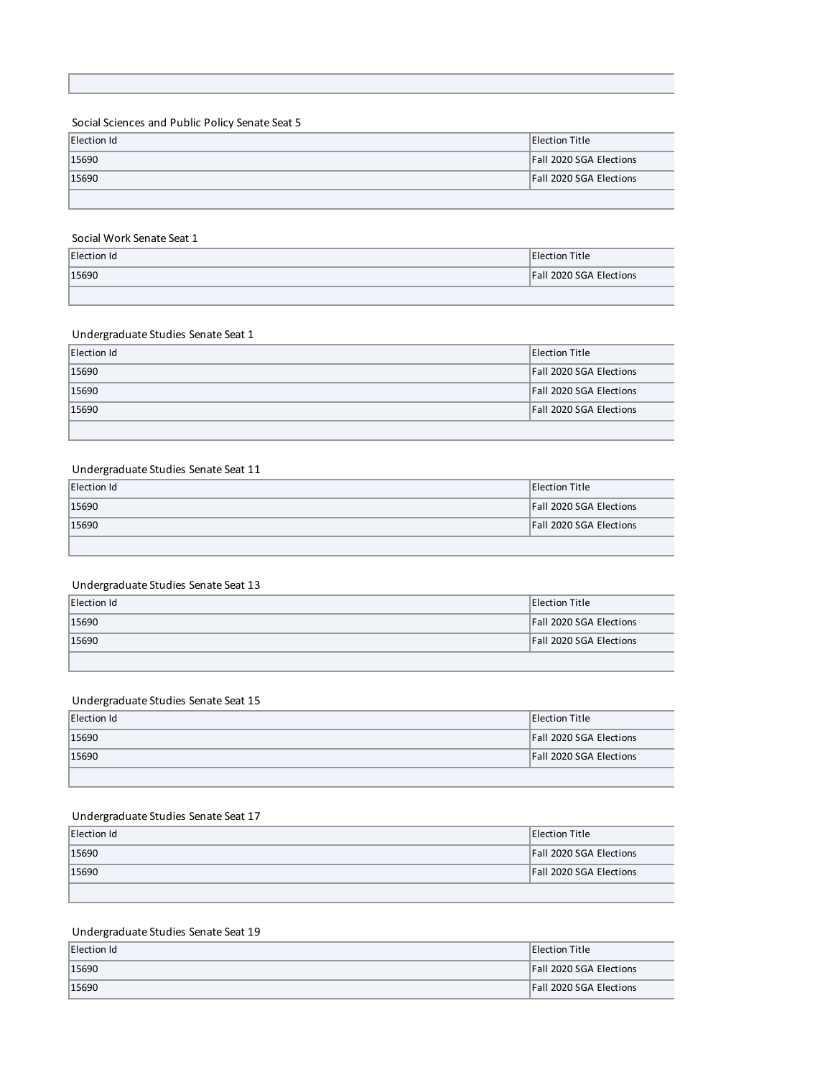# Social Sciences and Public Policy Senate Seat 5

| Election Id | <b>Election Title</b>          |
|-------------|--------------------------------|
| 15690       | <b>Fall 2020 SGA Elections</b> |
| 15690       | <b>Fall 2020 SGA Elections</b> |
|             |                                |

#### Social Work Senate Seat 1

| Election Id | <b>Election Title</b>   |
|-------------|-------------------------|
| 15690       | Fall 2020 SGA Elections |
|             |                         |

### Undergraduate Studies Senate Seat 1

| Election Id | <b>Election Title</b>          |
|-------------|--------------------------------|
| 15690       | <b>Fall 2020 SGA Elections</b> |
| 15690       | <b>Fall 2020 SGA Elections</b> |
| 15690       | <b>Fall 2020 SGA Elections</b> |
|             |                                |

### Undergraduate Studies Senate Seat 11

| Election Id | <b>Election Title</b>          |
|-------------|--------------------------------|
| 15690       | <b>Fall 2020 SGA Elections</b> |
| 15690       | <b>Fall 2020 SGA Elections</b> |
|             |                                |

### Undergraduate Studies Senate Seat 13

| Election Id | <b>Election Title</b>          |
|-------------|--------------------------------|
| 15690       | <b>Fall 2020 SGA Elections</b> |
| 15690       | <b>Fall 2020 SGA Elections</b> |
|             |                                |

## Undergraduate Studies Senate Seat 15

| Election Id | <b>Election Title</b>          |
|-------------|--------------------------------|
| 15690       | <b>Fall 2020 SGA Elections</b> |
| 15690       | <b>Fall 2020 SGA Elections</b> |
|             |                                |

# Undergraduate Studies Senate Seat 17

| Election Id | <b>Election Title</b>          |
|-------------|--------------------------------|
| 15690       | <b>Fall 2020 SGA Elections</b> |
| 15690       | <b>Fall 2020 SGA Elections</b> |
|             |                                |

# Undergraduate Studies Senate Seat 19

| Election Id | <b>Election Title</b>          |
|-------------|--------------------------------|
| 15690       | <b>Fall 2020 SGA Elections</b> |
| 15690       | <b>Fall 2020 SGA Elections</b> |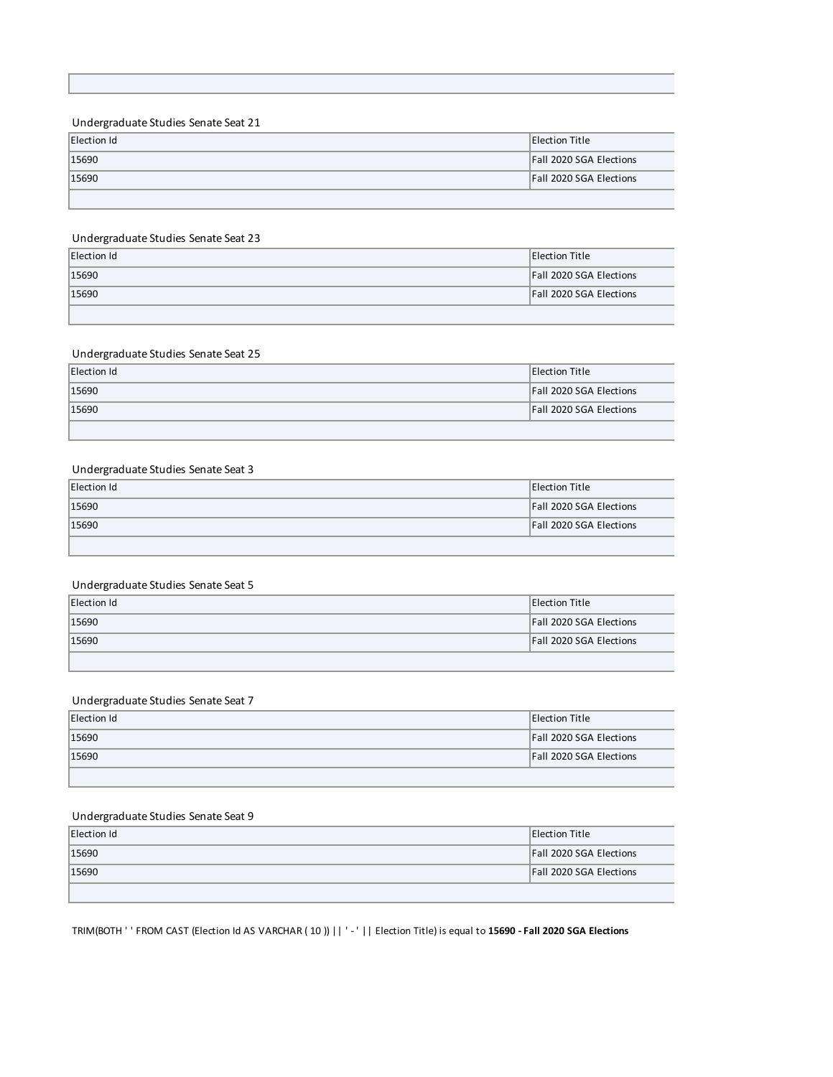### Undergraduate Studies Senate Seat 21

| Election Id | <b>Election Title</b>          |
|-------------|--------------------------------|
| 15690       | <b>Fall 2020 SGA Elections</b> |
| 15690       | <b>Fall 2020 SGA Elections</b> |
|             |                                |

### Undergraduate Studies Senate Seat 23

| Election Id | <b>Election Title</b>          |
|-------------|--------------------------------|
| 15690       | <b>Fall 2020 SGA Elections</b> |
| 15690       | <b>Fall 2020 SGA Elections</b> |
|             |                                |

## Undergraduate Studies Senate Seat 25

| Election Id | Election Title                 |
|-------------|--------------------------------|
| 15690       | <b>Fall 2020 SGA Elections</b> |
| 15690       | <b>Fall 2020 SGA Elections</b> |
|             |                                |

### Undergraduate Studies Senate Seat 3

| Election Id | Election Title                 |
|-------------|--------------------------------|
| 15690       | <b>Fall 2020 SGA Elections</b> |
| 15690       | <b>Fall 2020 SGA Elections</b> |
|             |                                |

#### Undergraduate Studies Senate Seat 5

| Election Id | <b>Election Title</b>          |
|-------------|--------------------------------|
| 15690       | <b>Fall 2020 SGA Elections</b> |
| 15690       | <b>Fall 2020 SGA Elections</b> |
|             |                                |

### Undergraduate Studies Senate Seat 7

| Election Id | <b>Election Title</b>          |
|-------------|--------------------------------|
| 15690       | <b>Fall 2020 SGA Elections</b> |
| 15690       | <b>Fall 2020 SGA Elections</b> |
|             |                                |

## Undergraduate Studies Senate Seat 9

| Election Id | Election Title                 |
|-------------|--------------------------------|
| 15690       | <b>Fall 2020 SGA Elections</b> |
| 15690       | <b>Fall 2020 SGA Elections</b> |
|             |                                |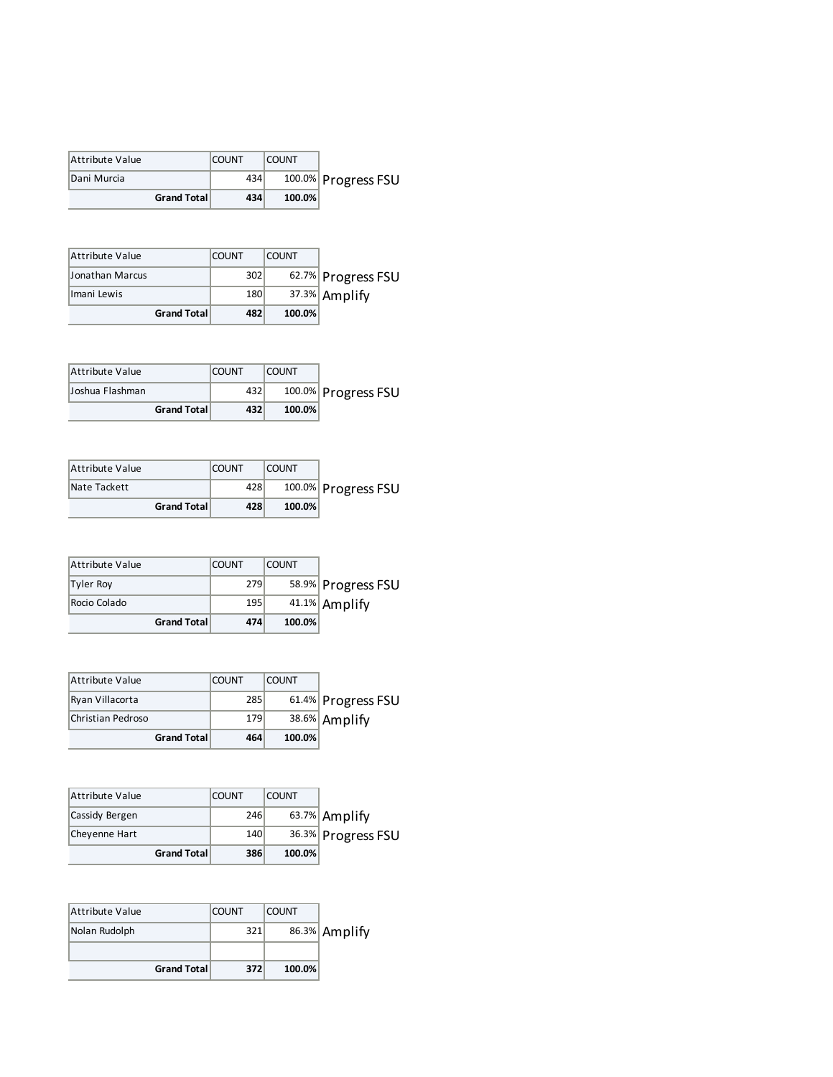| Attribute Value | <b>COUNT</b> | <b>COUNT</b> |                     |
|-----------------|--------------|--------------|---------------------|
| Dani Murcia     | 434          |              | 100.0% Progress FSU |
| Grand Total     | 434          | 100.0%       |                     |

| Attribute Value | <b>COUNT</b> | <b>COUNT</b> |                    |
|-----------------|--------------|--------------|--------------------|
| Jonathan Marcus | 302          |              | 62.7% Progress FSU |
| Imani Lewis     | 180          |              | 37.3% Amplify      |
| Grand Total     | 482          | 100.0%       |                    |

| Attribute Value    | <b>COUNT</b> | <b>COUNT</b> |                     |
|--------------------|--------------|--------------|---------------------|
| lJoshua Flashman   | 432          |              | 100.0% Progress FSU |
| <b>Grand Total</b> | 432          | 100.0%       |                     |

| Attribute Value     | <b>COUNT</b> | <b>COUNT</b> |                     |
|---------------------|--------------|--------------|---------------------|
| Nate Tackett        | 428          |              | 100.0% Progress FSU |
| <b>Grand Totall</b> | 428          | 100.0%       |                     |

| Attribute Value     | <b>COUNT</b> | <b>COUNT</b> |                    |
|---------------------|--------------|--------------|--------------------|
| Tyler Roy           | 279          |              | 58.9% Progress FSU |
| Rocio Colado        | 195          |              | 41.1% Amplify      |
| <b>Grand Totall</b> | 474          | 100.0%       |                    |

| Attribute Value   | <b>COUNT</b> | <b>COUNT</b> |                    |
|-------------------|--------------|--------------|--------------------|
| Ryan Villacorta   | 285          |              | 61.4% Progress FSU |
| Christian Pedroso | 179          |              | 38.6% Amplify      |
| Grand Total       | 464          | $100.0\%$    |                    |

| Attribute Value    | <b>COUNT</b> | <b>COUNT</b> |                    |
|--------------------|--------------|--------------|--------------------|
| Cassidy Bergen     | 246          |              | 63.7% Amplify      |
| Chevenne Hart      | 140          |              | 36.3% Progress FSU |
| <b>Grand Total</b> | 386          | 100.0%       |                    |

| <b>Attribute Value</b> | <b>COUNT</b> | <b>COUNT</b> |               |
|------------------------|--------------|--------------|---------------|
| Nolan Rudolph          | 321          |              | 86.3% Amplify |
|                        |              |              |               |
| <b>Grand Total</b>     | 372          | 100.0%       |               |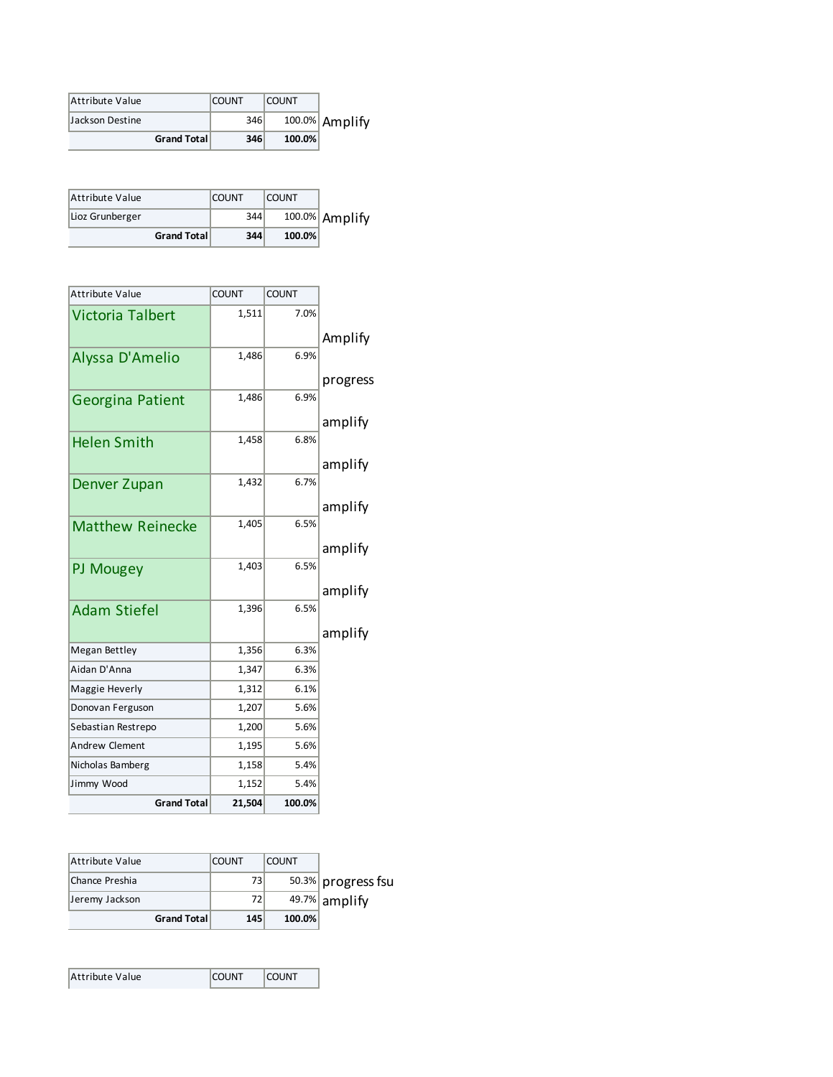| Attribute Value |                     | <b>COUNT</b> | <b>COUNT</b> |                |
|-----------------|---------------------|--------------|--------------|----------------|
| Jackson Destine |                     | 346          |              | 100.0% Amplify |
|                 | <b>Grand Totall</b> | 346          | $100.0\%$    |                |

| Attribute Value |                    | <b>COUNT</b> | <b>COUNT</b> |                   |
|-----------------|--------------------|--------------|--------------|-------------------|
| Lioz Grunberger |                    | 344          |              | $100.0\%$ Amplify |
|                 | <b>Grand Total</b> | 344          | $100.0\%$    |                   |

| <b>Attribute Value</b>  | <b>COUNT</b> | <b>COUNT</b> |          |
|-------------------------|--------------|--------------|----------|
| <b>Victoria Talbert</b> | 1,511        | 7.0%         |          |
|                         |              |              | Amplify  |
| Alyssa D'Amelio         | 1,486        | 6.9%         |          |
|                         |              |              | progress |
| Georgina Patient        | 1,486        | 6.9%         |          |
|                         |              |              | amplify  |
| <b>Helen Smith</b>      | 1,458        | 6.8%         |          |
|                         |              |              | amplify  |
| Denver Zupan            | 1,432        | 6.7%         |          |
|                         |              |              | amplify  |
| <b>Matthew Reinecke</b> | 1,405        | 6.5%         |          |
|                         |              |              |          |
|                         | 1,403        | 6.5%         | amplify  |
| PJ Mougey               |              |              |          |
|                         | 1,396        | 6.5%         | amplify  |
| <b>Adam Stiefel</b>     |              |              |          |
|                         |              |              | amplify  |
| <b>Megan Bettley</b>    | 1,356        | 6.3%         |          |
| Aidan D'Anna            | 1,347        | 6.3%         |          |
| Maggie Heverly          | 1,312        | 6.1%         |          |
| Donovan Ferguson        | 1,207        | 5.6%         |          |
| Sebastian Restrepo      | 1,200        | 5.6%         |          |
| Andrew Clement          | 1,195        | 5.6%         |          |
| Nicholas Bamberg        | 1,158        | 5.4%         |          |
| Jimmy Wood              | 1,152        | 5.4%         |          |
| <b>Grand Total</b>      | 21,504       | 100.0%       |          |

| Attribute Value |             | <b>COUNT</b> | <b>COUNT</b> |                    |
|-----------------|-------------|--------------|--------------|--------------------|
| Chance Preshia  |             | 731          |              | 50.3% progress fsu |
| Jeremy Jackson  |             | 72           |              | $49.7\%$ amplify   |
|                 | Grand Total | 145          | 100.0%       |                    |

| Attribute Value | <b>COUNT</b> | <b>COUNT</b> |
|-----------------|--------------|--------------|
|-----------------|--------------|--------------|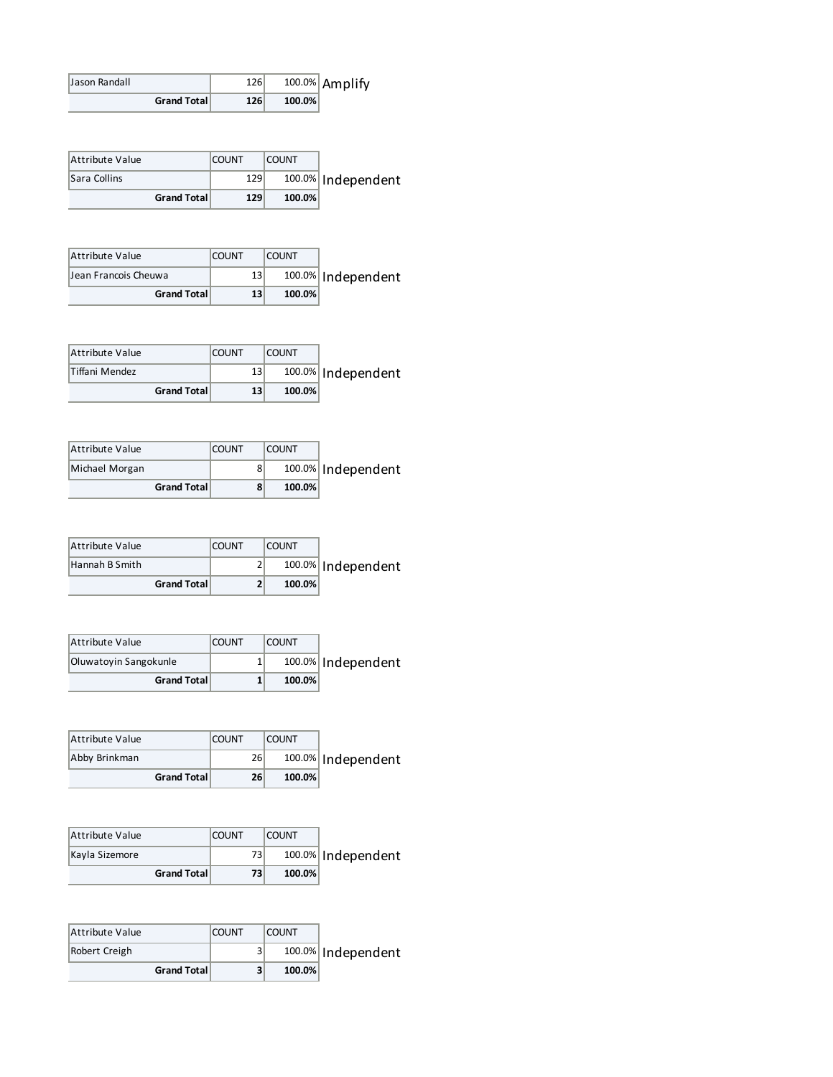|                       |                                                                                        |                                              |                                                            | 100.0% Amplify                                                                                 |
|-----------------------|----------------------------------------------------------------------------------------|----------------------------------------------|------------------------------------------------------------|------------------------------------------------------------------------------------------------|
| <b>Grand Total</b>    |                                                                                        |                                              | 100.0%                                                     |                                                                                                |
|                       |                                                                                        |                                              |                                                            |                                                                                                |
|                       |                                                                                        |                                              |                                                            |                                                                                                |
|                       | <b>COUNT</b>                                                                           |                                              | <b>COUNT</b>                                               |                                                                                                |
|                       |                                                                                        |                                              |                                                            | Independent                                                                                    |
| <b>Grand Total</b>    |                                                                                        |                                              | 100.0%                                                     |                                                                                                |
|                       |                                                                                        |                                              |                                                            |                                                                                                |
|                       |                                                                                        |                                              |                                                            |                                                                                                |
|                       |                                                                                        |                                              |                                                            |                                                                                                |
|                       |                                                                                        |                                              |                                                            | 100.0% Independent                                                                             |
|                       |                                                                                        |                                              |                                                            |                                                                                                |
|                       |                                                                                        |                                              |                                                            |                                                                                                |
|                       | <b>COUNT</b>                                                                           |                                              | <b>COUNT</b>                                               |                                                                                                |
|                       |                                                                                        | 13                                           |                                                            | 100.0% Independent                                                                             |
| <b>Grand Total</b>    |                                                                                        | 13                                           | 100.0%                                                     |                                                                                                |
|                       |                                                                                        |                                              |                                                            |                                                                                                |
|                       |                                                                                        |                                              |                                                            |                                                                                                |
|                       | <b>COUNT</b>                                                                           |                                              | <b>COUNT</b>                                               |                                                                                                |
|                       |                                                                                        | 8                                            |                                                            | 100.0% Independent                                                                             |
| <b>Grand Total</b>    |                                                                                        | 8                                            | 100.0%                                                     |                                                                                                |
|                       |                                                                                        |                                              |                                                            |                                                                                                |
|                       |                                                                                        |                                              |                                                            |                                                                                                |
|                       |                                                                                        |                                              |                                                            |                                                                                                |
|                       |                                                                                        |                                              |                                                            | 100.0% Independent                                                                             |
|                       |                                                                                        |                                              |                                                            |                                                                                                |
|                       |                                                                                        |                                              |                                                            |                                                                                                |
|                       | <b>COUNT</b>                                                                           |                                              | <b>COUNT</b>                                               |                                                                                                |
| Oluwatoyin Sangokunle |                                                                                        | 1                                            |                                                            | 100.0% Independent                                                                             |
| <b>Grand Total</b>    |                                                                                        | $\mathbf{1}$                                 | 100.0%                                                     |                                                                                                |
|                       |                                                                                        |                                              |                                                            |                                                                                                |
|                       |                                                                                        |                                              |                                                            |                                                                                                |
|                       | <b>COUNT</b>                                                                           |                                              | <b>COUNT</b>                                               |                                                                                                |
|                       |                                                                                        | 26                                           |                                                            | Independent                                                                                    |
|                       |                                                                                        |                                              |                                                            |                                                                                                |
|                       |                                                                                        |                                              |                                                            |                                                                                                |
|                       |                                                                                        |                                              |                                                            |                                                                                                |
|                       |                                                                                        |                                              |                                                            | 100.0% Independent                                                                             |
|                       |                                                                                        | 73                                           | 100.0%                                                     |                                                                                                |
| <b>Grand Total</b>    |                                                                                        |                                              |                                                            |                                                                                                |
|                       |                                                                                        |                                              |                                                            |                                                                                                |
|                       |                                                                                        |                                              |                                                            |                                                                                                |
|                       | <b>COUNT</b>                                                                           |                                              | <b>COUNT</b>                                               |                                                                                                |
|                       |                                                                                        | 3                                            |                                                            | 100.0% Independent                                                                             |
|                       | Jean Francois Cheuwa<br><b>Grand Total</b><br><b>Grand Total</b><br><b>Grand Total</b> | <b>COUNT</b><br><b>COUNT</b><br><b>COUNT</b> | 126<br>126<br>129<br>129<br>13<br>13<br>2<br>2<br>26<br>73 | 100.0%<br><b>COUNT</b><br>100.0%<br><b>COUNT</b><br>100.0%<br>100.0%<br>100.0%<br><b>COUNT</b> |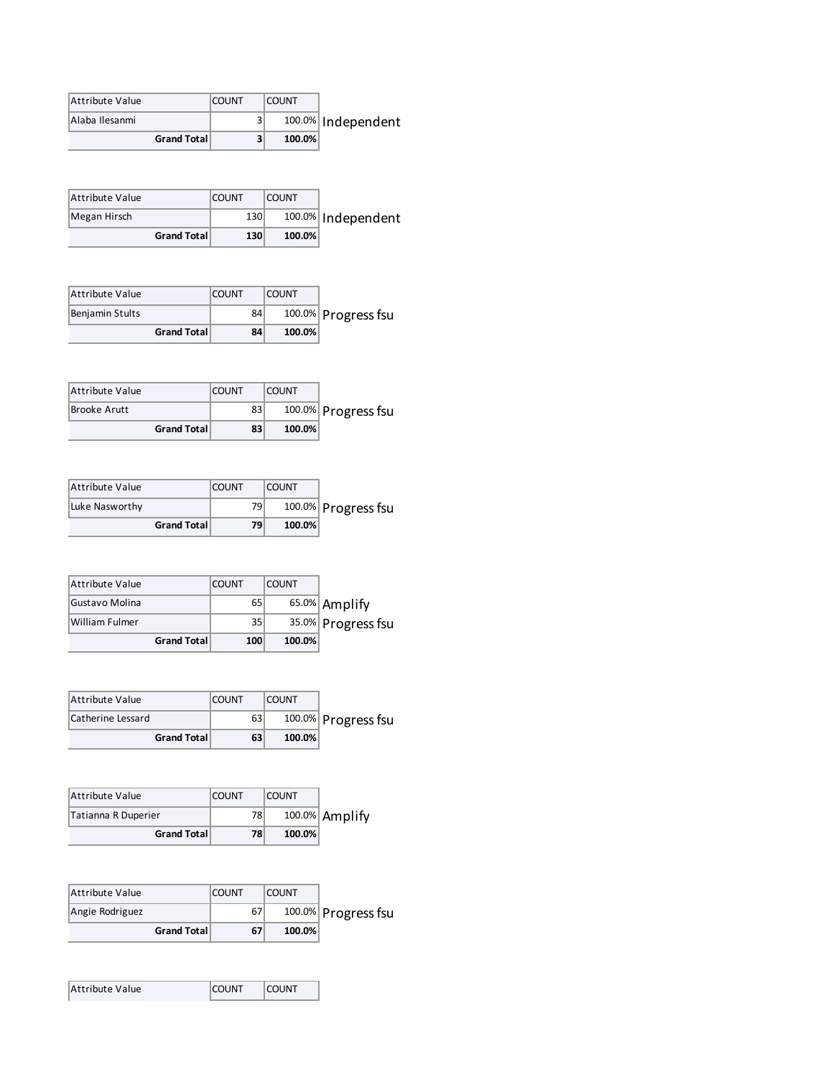| Attribute Value | <b>COUNT</b> | <b>COUNT</b> |                    |
|-----------------|--------------|--------------|--------------------|
| Alaba Ilesanmi  |              |              | 100.0% Independent |
| Grand Total     |              | 100.0%       |                    |

| Attribute Value    | <b>COUNT</b> | <b>COUNT</b> |                    |
|--------------------|--------------|--------------|--------------------|
| Megan Hirsch       | 130          |              | 100.0% Independent |
| <b>Grand Total</b> | 130          | 100.0%       |                    |

| Attribute Value |                     | <b>COUNT</b> | <b>COUNT</b> |                     |
|-----------------|---------------------|--------------|--------------|---------------------|
| Benjamin Stults |                     | 84           |              | 100.0% Progress fsu |
|                 | <b>Grand Totall</b> | 84           | 100.0%       |                     |

| Attribute Value |                     | <b>COUNT</b> | <b>COUNT</b> |                     |
|-----------------|---------------------|--------------|--------------|---------------------|
| Brooke Arutt    |                     | 83           |              | 100.0% Progress fsu |
|                 | <b>Grand Totall</b> | 83           | 100.0%       |                     |

| Attribute Value |                     | <b>COUNT</b> | <b>COUNT</b> |                     |
|-----------------|---------------------|--------------|--------------|---------------------|
| Luke Nasworthy  |                     | 791          |              | 100.0% Progress fsu |
|                 | <b>Grand Totall</b> | 79           | 100.0%       |                     |

| <b>Attribute Value</b> | <b>COUNT</b>    | <b>COUNT</b> |                    |
|------------------------|-----------------|--------------|--------------------|
| Gustavo Molina         | 65              |              | 65.0% Amplify      |
| William Fulmer         | 35 <sub>1</sub> |              | 35.0% Progress fsu |
| <b>Grand Total</b>     | 100             | 100.0%       |                    |

| Attribute Value     | <b>COUNT</b> | <b>COUNT</b> |                     |
|---------------------|--------------|--------------|---------------------|
| Catherine Lessard   | 63           |              | 100.0% Progress fsu |
| <b>Grand Totall</b> | 63           | 100.0%       |                     |

| Attribute Value<br>Tatianna R Duperier | <b>COUNT</b><br>78 | <b>COUNT</b> | 100.0% Amplify |
|----------------------------------------|--------------------|--------------|----------------|
| <b>Grand Total</b>                     | 78                 | $100.0\%$    |                |

| Attribute Value |                     | <b>COUNT</b> | <b>COUNT</b> |                     |
|-----------------|---------------------|--------------|--------------|---------------------|
| Angie Rodriguez |                     | 67           |              | 100.0% Progress fsu |
|                 | <b>Grand Totall</b> | 67           | $100.0\%$    |                     |

| Attribute Value | <b>COUNT</b> | <b>COUNT</b> |  |
|-----------------|--------------|--------------|--|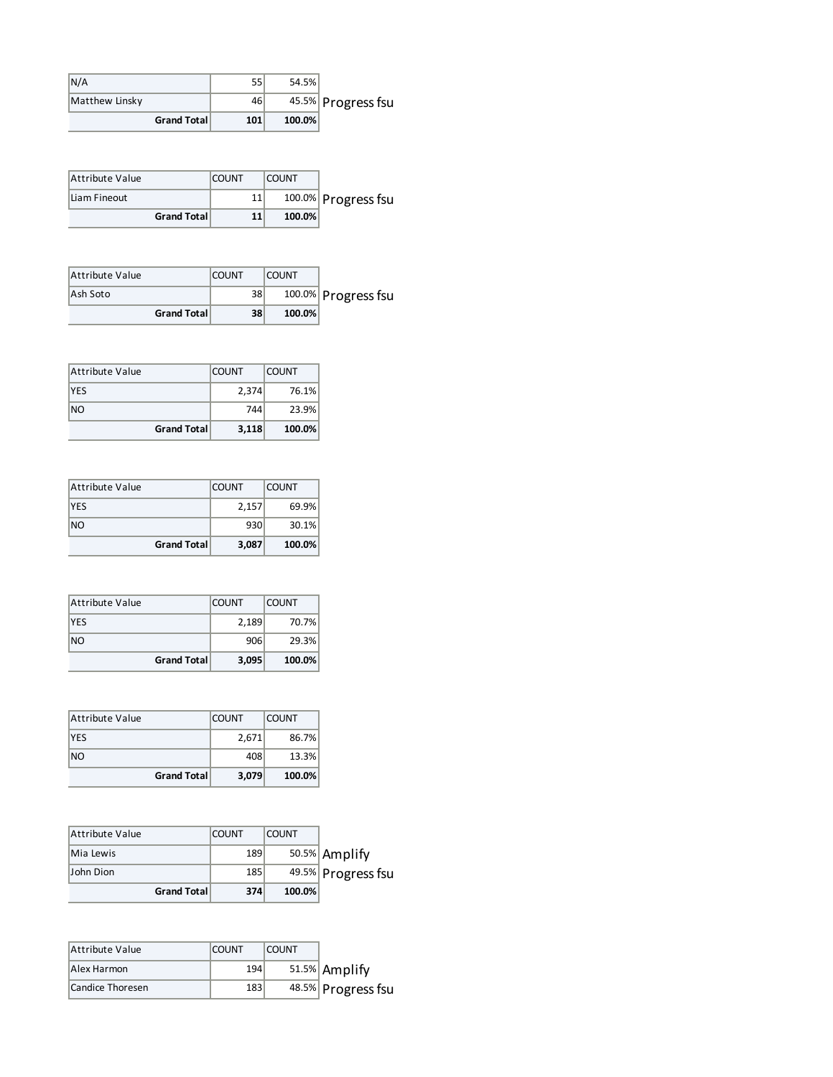| N/A            |                     | cг<br>ככ        | 54.5%  |                    |
|----------------|---------------------|-----------------|--------|--------------------|
| Matthew Linsky |                     | 46 <sup>1</sup> |        | 45.5% Progress fsu |
|                | <b>Grand Totall</b> | 101             | 100.0% |                    |

| Attribute Value    | <b>COUNT</b> | <b>COUNT</b> |                     |
|--------------------|--------------|--------------|---------------------|
| Liam Fineout       |              |              | 100.0% Progress fsu |
| <b>Grand Total</b> | 11           | $100.0\%$    |                     |

| Attribute Value    | <b>COUNT</b> | <b>COUNT</b> |                     |
|--------------------|--------------|--------------|---------------------|
| Ash Soto           | 38           |              | 100.0% Progress fsu |
| <b>Grand Total</b> | 38           | 100.0%       |                     |

| Attribute Value    | <b>COUNT</b> | <b>COUNT</b> |
|--------------------|--------------|--------------|
| <b>YES</b>         | 2,374        | 76.1%        |
| <b>NO</b>          | 744          | 23.9%        |
| <b>Grand Total</b> | 3,118        | 100.0%       |

| Attribute Value | <b>COUNT</b> | <b>COUNT</b> |
|-----------------|--------------|--------------|
| <b>YES</b>      | 2,157        | 69.9%        |
| <b>NO</b>       | 930          | 30.1%        |
| Grand Total     | 3,087        | 100.0%       |

| Attribute Value    | <b>COUNT</b> | <b>COUNT</b> |
|--------------------|--------------|--------------|
| <b>YES</b>         | 2,189        | 70.7%        |
| NO                 | 906          | 29.3%        |
| <b>Grand Total</b> | 3,095        | 100.0%       |

| Attribute Value    | <b>COUNT</b> | <b>COUNT</b> |
|--------------------|--------------|--------------|
| <b>YES</b>         | 2,671        | 86.7%        |
| N <sub>O</sub>     | 408          | 13.3%        |
| <b>Grand Total</b> | 3,079        | 100.0%       |

| Attribute Value    | <b>COUNT</b> | <b>COUNT</b> |                    |
|--------------------|--------------|--------------|--------------------|
| Mia Lewis          | 189          |              | 50.5% Amplify      |
| John Dion          | 185          |              | 49.5% Progress fsu |
| <b>Grand Total</b> | 374          | 100.0%       |                    |

| Attribute Value  | <b>COUNT</b> | <b>COUNT</b> |                    |
|------------------|--------------|--------------|--------------------|
| Alex Harmon      | 194          |              | 51.5% Amplify      |
| Candice Thoresen | 183          |              | 48.5% Progress fsu |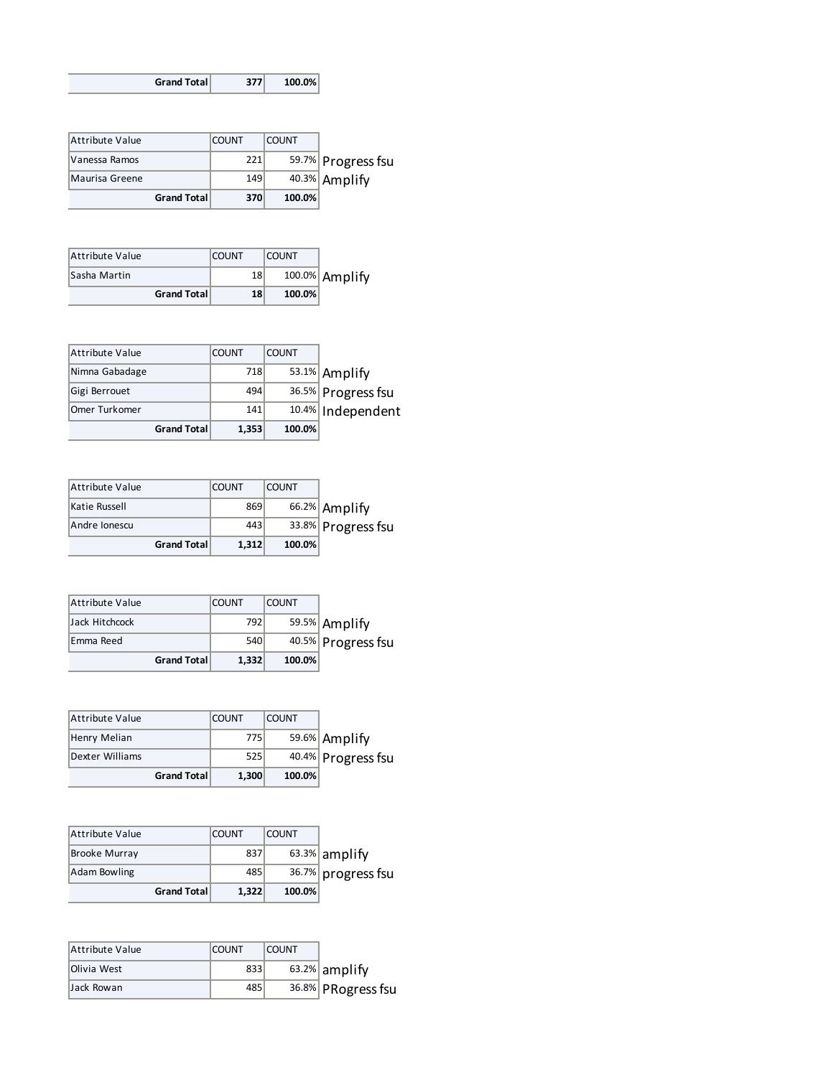| Grand Total | 377 | 100.0% |
|-------------|-----|--------|
|-------------|-----|--------|

| Attribute Value    | <b>COUNT</b> | <b>COUNT</b> |                    |
|--------------------|--------------|--------------|--------------------|
| Vanessa Ramos      | 221          |              | 59.7% Progress fsu |
| Maurisa Greene     | 149          |              | 40.3% Amplify      |
| <b>Grand Total</b> | 370          | 100.0%       |                    |

| Attribute Value     | <b>COUNT</b> | <b>COUNT</b> |                |
|---------------------|--------------|--------------|----------------|
| <b>Sasha Martin</b> | 18           |              | 100.0% Amplify |
| <b>Grand Total</b>  | 18           | $100.0\%$    |                |

| <b>Grand Total</b> | 1,353        | 100.0%       |                    |
|--------------------|--------------|--------------|--------------------|
| Omer Turkomer      | 141          |              | 10.4% Independent  |
| Gigi Berrouet      | 494          |              | 36.5% Progress fsu |
| Nimna Gabadage     | 718          |              | 53.1% Amplify      |
| Attribute Value    | <b>COUNT</b> | <b>COUNT</b> |                    |

| <b>Grand Total</b> | 1.312        | 100.0%       |                    |
|--------------------|--------------|--------------|--------------------|
| Andre Ionescu      | 443          |              | 33.8% Progress fsu |
| Katie Russell      | 869          |              | 66.2% Amplify      |
| Attribute Value    | <b>COUNT</b> | <b>COUNT</b> |                    |

| Attribute Value | <b>COUNT</b> | <b>COUNT</b> |                    |
|-----------------|--------------|--------------|--------------------|
| Jack Hitchcock  | 792          |              | 59.5% Amplify      |
| Emma Reed       | 540          |              | 40.5% Progress fsu |
| Grand Total     | 1.332        | 100.0%       |                    |

| <b>Attribute Value</b> |             | <b>COUNT</b> | <b>COUNT</b> |                    |
|------------------------|-------------|--------------|--------------|--------------------|
| Henry Melian           |             | 775          |              | 59.6% Amplify      |
| Dexter Williams        |             | 525          |              | 40.4% Progress fsu |
|                        | Grand Total | 1,300        | 100.0%       |                    |

| Attribute Value      | <b>COUNT</b> | <b>COUNT</b> |                    |
|----------------------|--------------|--------------|--------------------|
| <b>Brooke Murray</b> | 837          |              | $63.3\%$ amplify   |
| Adam Bowling         | 485          |              | 36.7% progress fsu |
| Grand Total          | 1,322        | 100.0%       |                    |

| Attribute Value | <b>COUNT</b> | <b>COUNT</b> |                    |
|-----------------|--------------|--------------|--------------------|
| Olivia West     | 833          |              | $63.2\%$ amplify   |
| Jack Rowan      | 485          |              | 36.8% PRogress fsu |